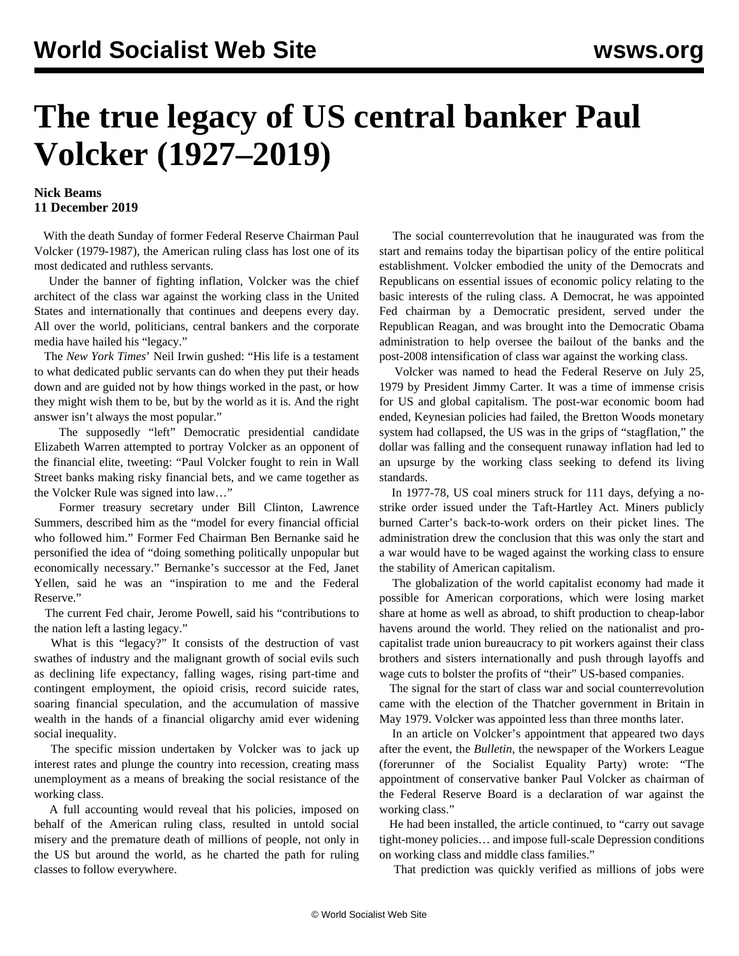## **The true legacy of US central banker Paul Volcker (1927–2019)**

## **Nick Beams 11 December 2019**

 With the death Sunday of former Federal Reserve Chairman Paul Volcker (1979-1987), the American ruling class has lost one of its most dedicated and ruthless servants.

 Under the banner of fighting inflation, Volcker was the chief architect of the class war against the working class in the United States and internationally that continues and deepens every day. All over the world, politicians, central bankers and the corporate media have hailed his "legacy."

 The *New York Times*' Neil Irwin gushed: "His life is a testament to what dedicated public servants can do when they put their heads down and are guided not by how things worked in the past, or how they might wish them to be, but by the world as it is. And the right answer isn't always the most popular."

 The supposedly "left" Democratic presidential candidate Elizabeth Warren attempted to portray Volcker as an opponent of the financial elite, tweeting: "Paul Volcker fought to rein in Wall Street banks making risky financial bets, and we came together as the Volcker Rule was signed into law…"

 Former treasury secretary under Bill Clinton, Lawrence Summers, described him as the "model for every financial official who followed him." Former Fed Chairman Ben Bernanke said he personified the idea of "doing something politically unpopular but economically necessary." Bernanke's successor at the Fed, Janet Yellen, said he was an "inspiration to me and the Federal Reserve."

 The current Fed chair, Jerome Powell, said his "contributions to the nation left a lasting legacy."

 What is this "legacy?" It consists of the destruction of vast swathes of industry and the malignant growth of social evils such as declining life expectancy, falling wages, rising part-time and contingent employment, the opioid crisis, record suicide rates, soaring financial speculation, and the accumulation of massive wealth in the hands of a financial oligarchy amid ever widening social inequality.

 The specific mission undertaken by Volcker was to jack up interest rates and plunge the country into recession, creating mass unemployment as a means of breaking the social resistance of the working class.

 A full accounting would reveal that his policies, imposed on behalf of the American ruling class, resulted in untold social misery and the premature death of millions of people, not only in the US but around the world, as he charted the path for ruling classes to follow everywhere.

 The social counterrevolution that he inaugurated was from the start and remains today the bipartisan policy of the entire political establishment. Volcker embodied the unity of the Democrats and Republicans on essential issues of economic policy relating to the basic interests of the ruling class. A Democrat, he was appointed Fed chairman by a Democratic president, served under the Republican Reagan, and was brought into the Democratic Obama administration to help oversee the bailout of the banks and the post-2008 intensification of class war against the working class.

 Volcker was named to head the Federal Reserve on July 25, 1979 by President Jimmy Carter. It was a time of immense crisis for US and global capitalism. The post-war economic boom had ended, Keynesian policies had failed, the Bretton Woods monetary system had collapsed, the US was in the grips of "stagflation," the dollar was falling and the consequent runaway inflation had led to an upsurge by the working class seeking to defend its living standards.

 In 1977-78, US coal miners struck for 111 days, defying a nostrike order issued under the Taft-Hartley Act. Miners publicly burned Carter's back-to-work orders on their picket lines. The administration drew the conclusion that this was only the start and a war would have to be waged against the working class to ensure the stability of American capitalism.

 The globalization of the world capitalist economy had made it possible for American corporations, which were losing market share at home as well as abroad, to shift production to cheap-labor havens around the world. They relied on the nationalist and procapitalist trade union bureaucracy to pit workers against their class brothers and sisters internationally and push through layoffs and wage cuts to bolster the profits of "their" US-based companies.

 The signal for the start of class war and social counterrevolution came with the election of the Thatcher government in Britain in May 1979. Volcker was appointed less than three months later.

 In an article on Volcker's appointment that appeared two days after the event, the *Bulletin*, the newspaper of the Workers League (forerunner of the Socialist Equality Party) wrote: "The appointment of conservative banker Paul Volcker as chairman of the Federal Reserve Board is a declaration of war against the working class."

 He had been installed, the article continued, to "carry out savage tight-money policies… and impose full-scale Depression conditions on working class and middle class families."

That prediction was quickly verified as millions of jobs were